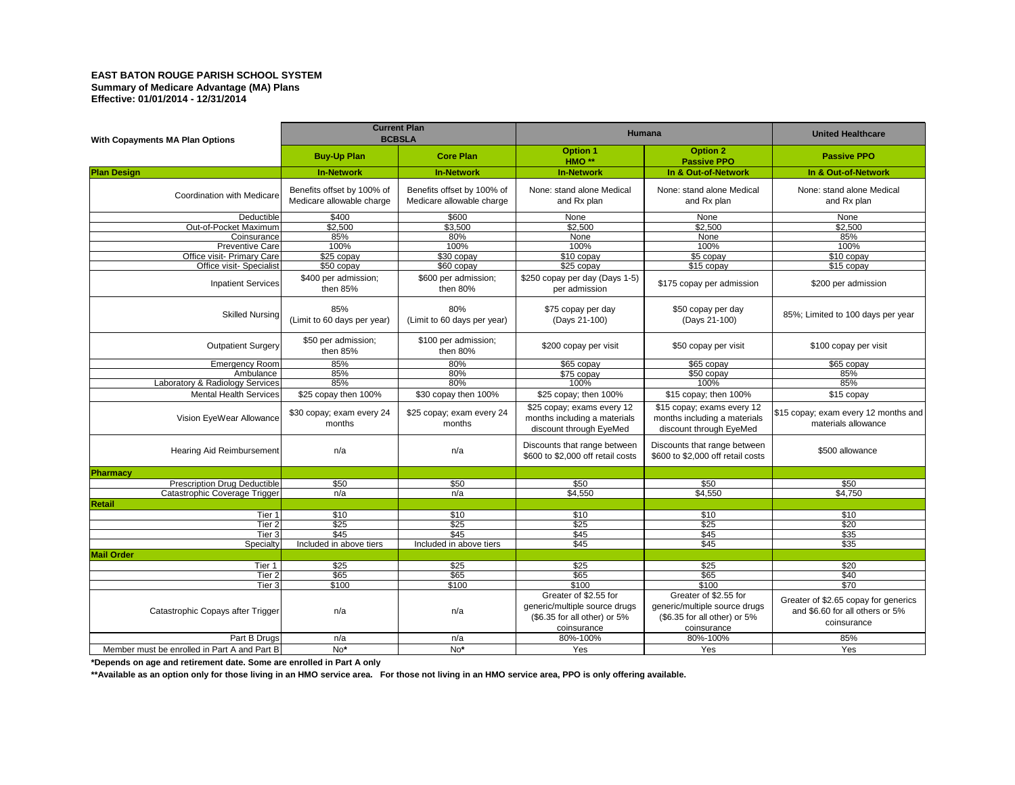## **EAST BATON ROUGE PARISH SCHOOL SYSTEM Summary of Medicare Advantage (MA) Plans Effective: 01/01/2014 - 12/31/2014**

| <b>With Copayments MA Plan Options</b>       | <b>Current Plan</b><br><b>BCBSLA</b>                    |                                                         | <b>Humana</b>                                                                                              |                                                                                                            | <b>United Healthcare</b>                                                               |
|----------------------------------------------|---------------------------------------------------------|---------------------------------------------------------|------------------------------------------------------------------------------------------------------------|------------------------------------------------------------------------------------------------------------|----------------------------------------------------------------------------------------|
|                                              | <b>Buy-Up Plan</b>                                      | <b>Core Plan</b>                                        | <b>Option 1</b><br>HMO <sup>**</sup>                                                                       | <b>Option 2</b><br><b>Passive PPO</b>                                                                      | <b>Passive PPO</b>                                                                     |
| <b>Plan Design</b>                           | <b>In-Network</b>                                       | <b>In-Network</b>                                       | <b>In-Network</b>                                                                                          | In & Out-of-Network                                                                                        | In & Out-of-Network                                                                    |
| <b>Coordination with Medicare</b>            | Benefits offset by 100% of<br>Medicare allowable charge | Benefits offset by 100% of<br>Medicare allowable charge | None: stand alone Medical<br>and Rx plan                                                                   | None: stand alone Medical<br>and Rx plan                                                                   | None: stand alone Medical<br>and Rx plan                                               |
| Deductible                                   | \$400                                                   | \$600                                                   | None                                                                                                       | None                                                                                                       | <b>None</b>                                                                            |
| Out-of-Pocket Maximum                        | \$2,500                                                 | \$3,500                                                 | \$2,500                                                                                                    | \$2,500                                                                                                    | \$2,500                                                                                |
| Coinsurance                                  | 85%                                                     | 80%                                                     | <b>None</b>                                                                                                | <b>None</b>                                                                                                | 85%                                                                                    |
| <b>Preventive Carel</b>                      | 100%                                                    | 100%                                                    | 100%                                                                                                       | 100%                                                                                                       | 100%                                                                                   |
| Office visit- Primary Care                   | \$25 copay                                              | \$30 copay                                              | $$10$ copay                                                                                                | $$5$ copay                                                                                                 | $$10$ copay                                                                            |
| Office visit-Specialist                      | \$50 copay                                              | $$60$ copay                                             | $$25$ copay                                                                                                | \$15 copay                                                                                                 | $$15$ copay                                                                            |
| Inpatient Services                           | \$400 per admission;<br>then $85%$                      | \$600 per admission;<br>then $80\%$                     | \$250 copay per day (Days 1-5)<br>per admission                                                            | \$175 copay per admission                                                                                  | \$200 per admission                                                                    |
| <b>Skilled Nursing</b>                       | 85%<br>(Limit to 60 days per year)                      | 80%<br>(Limit to 60 days per year)                      | \$75 copay per day<br>(Days 21-100)                                                                        | \$50 copay per day<br>(Days 21-100)                                                                        | 85%; Limited to 100 days per year                                                      |
| <b>Outpatient Surgery</b>                    | \$50 per admission;<br>then $85%$                       | \$100 per admission;<br>then $80\%$                     | \$200 copay per visit                                                                                      | \$50 copay per visit                                                                                       | \$100 copay per visit                                                                  |
| Emergency Room                               | 85%                                                     | 80%                                                     | $$65$ copay                                                                                                | $$65$ copay                                                                                                | \$65 copay                                                                             |
| Ambulance                                    | 85%                                                     | 80%                                                     | \$75 copay                                                                                                 | $$50$ copay                                                                                                | 85%                                                                                    |
| Laboratory & Radiology Services              | 85%                                                     | 80%                                                     | 100%                                                                                                       | 100%                                                                                                       | 85%                                                                                    |
| Mental Health Services                       | \$25 copay then 100%                                    | \$30 copay then 100%                                    | \$25 copay; then 100%                                                                                      | \$15 copay; then 100%                                                                                      | $$15$ copay                                                                            |
| Vision EyeWear Allowance                     | \$30 copay; exam every 24<br>months                     | \$25 copay; exam every 24<br>months                     | \$25 copay; exams every 12<br>months including a materials<br>discount through EyeMed                      | \$15 copay; exams every 12<br>months including a materials<br>discount through EyeMed                      | \$15 copay; exam every 12 months and<br>materials allowance                            |
| Hearing Aid Reimbursement                    | n/a                                                     | n/a                                                     | Discounts that range between<br>\$600 to \$2,000 off retail costs                                          | Discounts that range between<br>\$600 to \$2,000 off retail costs                                          | \$500 allowance                                                                        |
| Pharmacy                                     |                                                         |                                                         |                                                                                                            |                                                                                                            |                                                                                        |
| Prescription Drug Deductible                 | \$50                                                    | \$50                                                    | \$50                                                                                                       | \$50                                                                                                       | \$50                                                                                   |
| Catastrophic Coverage Trigger                | n/a                                                     | n/a                                                     | \$4,550                                                                                                    | \$4,550                                                                                                    | \$4,750                                                                                |
| <b>Retail</b>                                |                                                         |                                                         |                                                                                                            |                                                                                                            |                                                                                        |
| Tier 1                                       | \$10                                                    | \$10                                                    | \$10                                                                                                       | \$10                                                                                                       | \$10                                                                                   |
| Tier 2                                       | \$25                                                    | \$25                                                    | \$25                                                                                                       | \$25                                                                                                       | \$20                                                                                   |
| Tier 3                                       | \$45                                                    | \$45                                                    | \$45                                                                                                       | \$45                                                                                                       | \$35                                                                                   |
|                                              |                                                         |                                                         | \$45                                                                                                       | \$45                                                                                                       | \$35                                                                                   |
| Specialty                                    | Included in above tiers                                 | Included in above tiers                                 |                                                                                                            |                                                                                                            |                                                                                        |
| <b>Mail Order</b>                            |                                                         |                                                         |                                                                                                            |                                                                                                            |                                                                                        |
| Tier 1                                       | \$25                                                    | \$25                                                    | \$25                                                                                                       | \$25                                                                                                       | \$20                                                                                   |
| Tier 2                                       | \$65                                                    | $\overline{$65}$                                        | \$65                                                                                                       | \$65                                                                                                       | \$40                                                                                   |
| Tier 3                                       | \$100                                                   | \$100                                                   | \$100                                                                                                      | \$100                                                                                                      | \$70                                                                                   |
| Catastrophic Copays after Trigger            | n/a                                                     | n/a                                                     | Greater of \$2.55 for<br>generic/multiple source drugs<br>$(\$6.35$ for all other) or $5\%$<br>coinsurance | Greater of \$2.55 for<br>generic/multiple source drugs<br>$(\$6.35$ for all other) or $5\%$<br>coinsurance | Greater of \$2.65 copay for generics<br>and \$6.60 for all others or 5%<br>coinsurance |
| Part B Drugs                                 | n/a                                                     | n/a                                                     | 80%-100%                                                                                                   | 80%-100%                                                                                                   | 85%                                                                                    |
| Member must be enrolled in Part A and Part B | $No*$                                                   | $No*$                                                   | Yes                                                                                                        | Yes                                                                                                        | Yes                                                                                    |
|                                              |                                                         |                                                         |                                                                                                            |                                                                                                            |                                                                                        |

**\*Depends on age and retirement date. Some are enrolled in Part A only**

**\*\*Available as an option only for those living in an HMO service area. For those not living in an HMO service area, PPO is only offering available.**